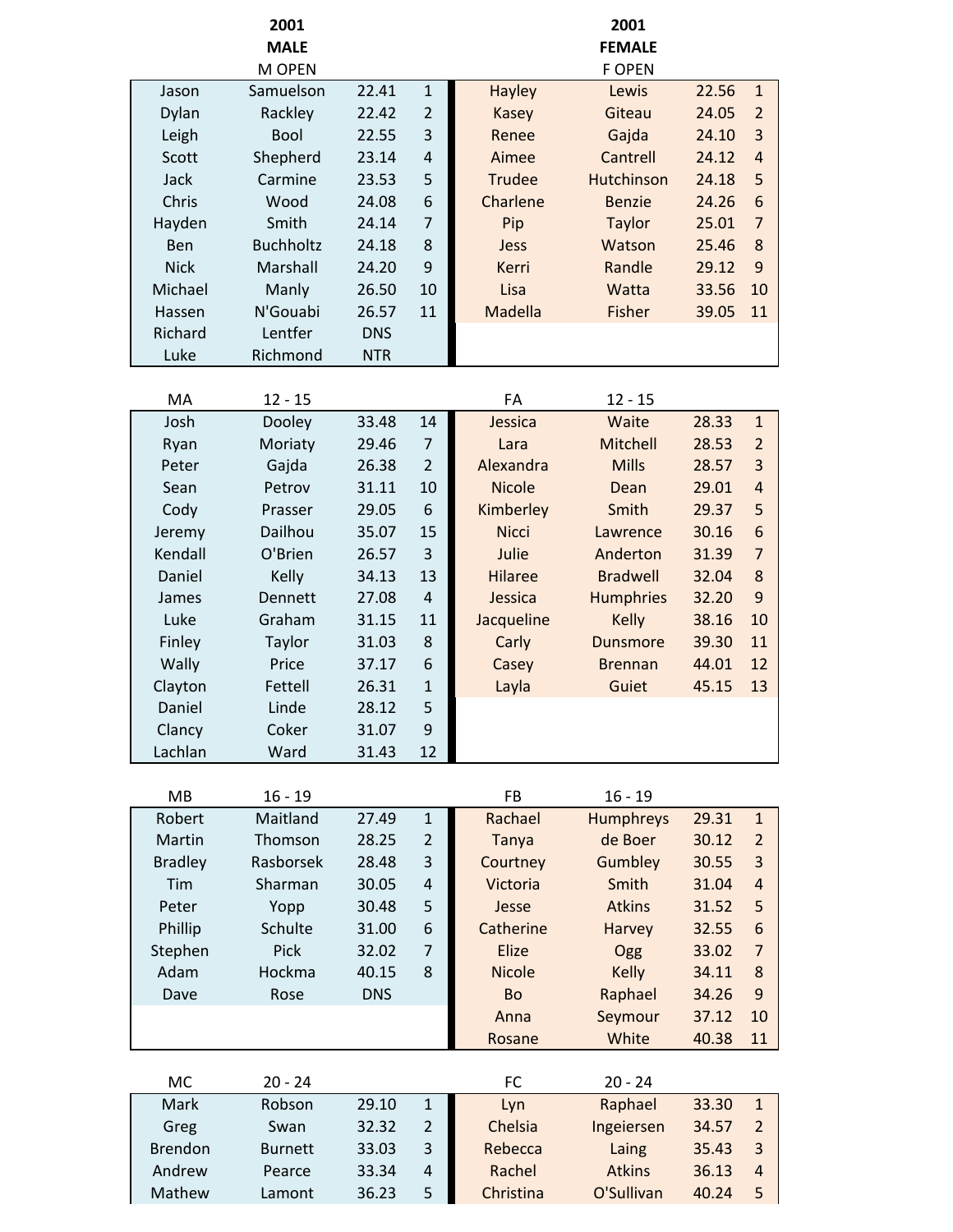|                | 2001                  |            |                |                | 2001                           |       |                |
|----------------|-----------------------|------------|----------------|----------------|--------------------------------|-------|----------------|
|                | <b>MALE</b><br>M OPEN |            |                |                | <b>FEMALE</b><br><b>F OPEN</b> |       |                |
| Jason          | Samuelson             | 22.41      | $\mathbf 1$    | <b>Hayley</b>  | Lewis                          | 22.56 | $\mathbf{1}$   |
| Dylan          | Rackley               | 22.42      | $\overline{2}$ | <b>Kasey</b>   | Giteau                         | 24.05 | $\overline{2}$ |
| Leigh          | <b>Bool</b>           | 22.55      | 3              | Renee          | Gajda                          | 24.10 | 3              |
| Scott          | Shepherd              | 23.14      | $\overline{4}$ | Aimee          | Cantrell                       | 24.12 | $\overline{4}$ |
| Jack           | Carmine               | 23.53      | 5              | <b>Trudee</b>  | Hutchinson                     | 24.18 | 5              |
| Chris          | Wood                  | 24.08      | 6              | Charlene       | <b>Benzie</b>                  | 24.26 | 6              |
| Hayden         | Smith                 | 24.14      | $\overline{7}$ | Pip            | <b>Taylor</b>                  | 25.01 | $\overline{7}$ |
| Ben            | <b>Buchholtz</b>      | 24.18      | 8              | Jess           | Watson                         | 25.46 | 8              |
| <b>Nick</b>    | Marshall              | 24.20      | 9              | Kerri          | Randle                         | 29.12 | 9              |
| Michael        | Manly                 | 26.50      | 10             | Lisa           | Watta                          | 33.56 | 10             |
| Hassen         | N'Gouabi              | 26.57      | 11             | Madella        | Fisher                         | 39.05 | 11             |
| Richard        | Lentfer               | <b>DNS</b> |                |                |                                |       |                |
| Luke           | Richmond              | <b>NTR</b> |                |                |                                |       |                |
| MA             | $12 - 15$             |            |                | FA             | $12 - 15$                      |       |                |
| Josh           | Dooley                | 33.48      | 14             | Jessica        | Waite                          | 28.33 | $\mathbf{1}$   |
| Ryan           | Moriaty               | 29.46      | $\overline{7}$ | Lara           | Mitchell                       | 28.53 | $\overline{2}$ |
| Peter          | Gajda                 | 26.38      | $\overline{2}$ | Alexandra      | <b>Mills</b>                   | 28.57 | 3              |
| Sean           | Petrov                | 31.11      | 10             | <b>Nicole</b>  | Dean                           | 29.01 | $\overline{4}$ |
| Cody           | Prasser               | 29.05      | 6              | Kimberley      | Smith                          | 29.37 | 5              |
| Jeremy         | Dailhou               | 35.07      | 15             | <b>Nicci</b>   | Lawrence                       | 30.16 | 6              |
| Kendall        | O'Brien               | 26.57      | 3              | Julie          | Anderton                       | 31.39 | $\overline{7}$ |
| Daniel         | Kelly                 | 34.13      | 13             | <b>Hilaree</b> | <b>Bradwell</b>                | 32.04 | 8              |
| James          | <b>Dennett</b>        | 27.08      | $\overline{4}$ | Jessica        | <b>Humphries</b>               | 32.20 | 9              |
| Luke           | Graham                | 31.15      | 11             | Jacqueline     | <b>Kelly</b>                   | 38.16 | 10             |
| Finley         | <b>Taylor</b>         | 31.03      | 8              | Carly          | <b>Dunsmore</b>                | 39.30 | 11             |
| Wally          | Price                 | 37.17      | 6              | Casey          | <b>Brennan</b>                 | 44.01 | 12             |
| Clayton        | Fettell               | 26.31      | $\mathbf 1$    | Layla          | Guiet                          | 45.15 | 13             |
| Daniel         | Linde                 | 28.12      | 5              |                |                                |       |                |
| Clancy         | Coker                 | 31.07      | 9              |                |                                |       |                |
| Lachlan        | Ward                  | 31.43      | 12             |                |                                |       |                |
| <b>MB</b>      | $16 - 19$             |            |                | <b>FB</b>      | $16 - 19$                      |       |                |
| Robert         | Maitland              | 27.49      | $\mathbf 1$    | Rachael        | <b>Humphreys</b>               | 29.31 | $\mathbf{1}$   |
| Martin         | Thomson               | 28.25      | $\overline{2}$ | Tanya          | de Boer                        | 30.12 | $\overline{2}$ |
| <b>Bradley</b> | Rasborsek             | 28.48      | 3              | Courtney       | Gumbley                        | 30.55 | 3              |
| Tim            | Sharman               | 30.05      | $\overline{4}$ | Victoria       | Smith                          | 31.04 | $\overline{a}$ |
| Peter          | Yopp                  | 30.48      | 5              | Jesse          | <b>Atkins</b>                  | 31.52 | 5              |
| Phillip        | Schulte               | 31.00      | 6              | Catherine      | Harvey                         | 32.55 | 6              |
| Stephen        | Pick                  | 32.02      | $\overline{7}$ | Elize          | Ogg                            | 33.02 | $\overline{7}$ |
| Adam           | Hockma                | 40.15      | 8              | <b>Nicole</b>  | <b>Kelly</b>                   | 34.11 | 8              |
| Dave           | Rose                  | <b>DNS</b> |                | Bo             | Raphael                        | 34.26 | 9              |
|                |                       |            |                | Anna           | Seymour                        | 37.12 | 10             |
|                |                       |            |                | Rosane         | White                          | 40.38 | 11             |
| MC             | $20 - 24$             |            |                | <b>FC</b>      | $20 - 24$                      |       |                |
| Mark           | Robson                | 29.10      | $\mathbf{1}$   | Lyn            | Raphael                        | 33.30 | $\mathbf{1}$   |
| Greg           | Swan                  | 32.32      | $\overline{2}$ | Chelsia        | Ingeiersen                     | 34.57 | $\overline{2}$ |
| <b>Brendon</b> | <b>Burnett</b>        | 33.03      | 3              | Rebecca        | Laing                          | 35.43 | 3              |
| Andrew         | Pearce                | 33.34      | $\overline{4}$ | Rachel         | <b>Atkins</b>                  | 36.13 | $\overline{a}$ |
| Mathew         | Lamont                | 36.23      | 5              | Christina      | O'Sullivan                     | 40.24 | 5              |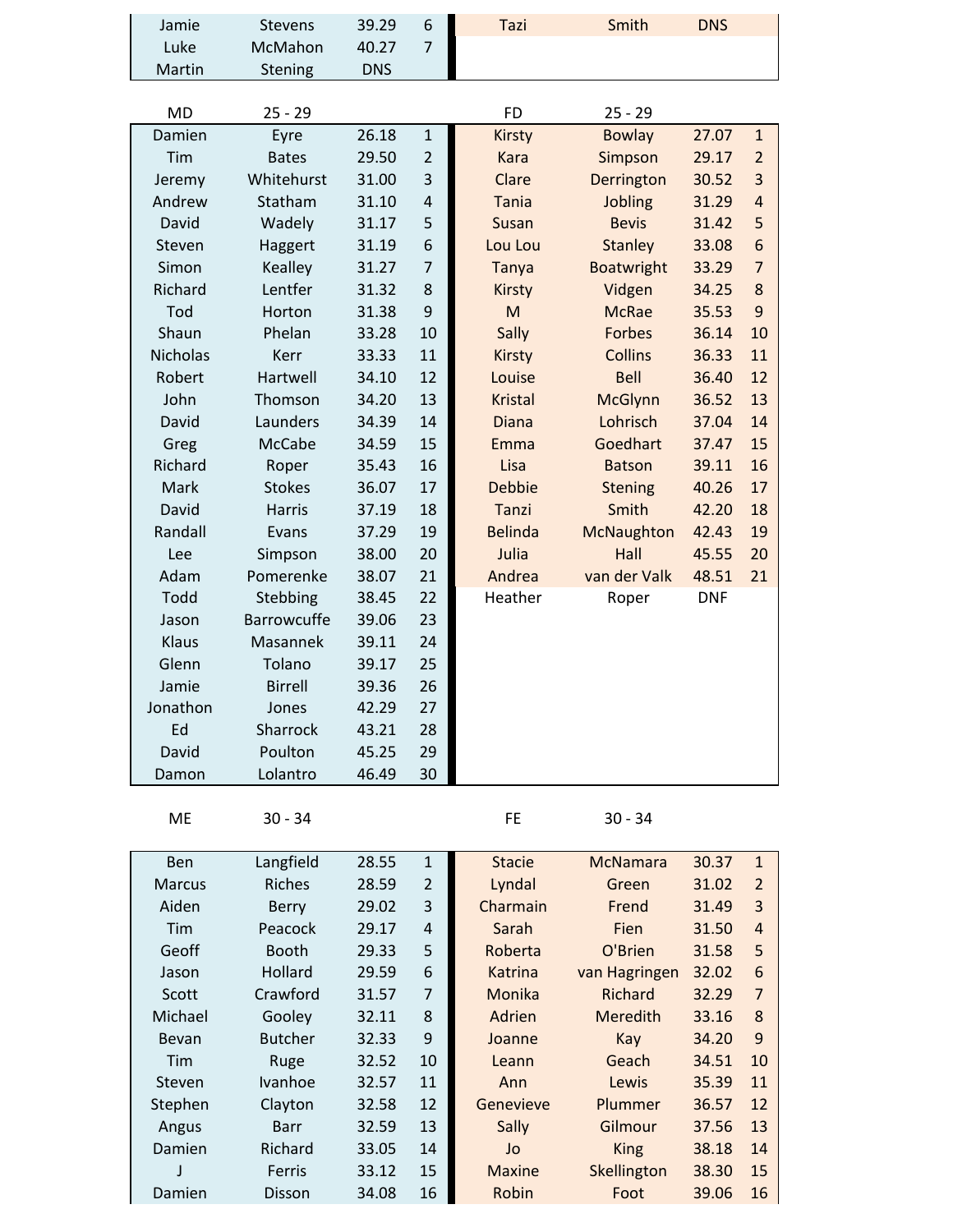| Jamie           | <b>Stevens</b>             | 39.29          | 6              | Tazi               | Smith             | <b>DNS</b> |                |
|-----------------|----------------------------|----------------|----------------|--------------------|-------------------|------------|----------------|
| Luke            | McMahon                    | 40.27          | $\overline{7}$ |                    |                   |            |                |
| Martin          | Stening                    | <b>DNS</b>     |                |                    |                   |            |                |
|                 |                            |                |                |                    |                   |            |                |
| <b>MD</b>       | $25 - 29$                  |                |                | <b>FD</b>          | $25 - 29$         |            |                |
| Damien          | Eyre                       | 26.18          | $\mathbf 1$    | <b>Kirsty</b>      | <b>Bowlay</b>     | 27.07      | $\mathbf{1}$   |
| Tim             | <b>Bates</b>               | 29.50          | $\overline{2}$ | Kara               | Simpson           | 29.17      | $\overline{2}$ |
| Jeremy          | Whitehurst                 | 31.00          | 3              | Clare              | Derrington        | 30.52      | $\overline{3}$ |
| Andrew          | Statham                    | 31.10          | $\sqrt{4}$     | <b>Tania</b>       | Jobling           | 31.29      | $\overline{4}$ |
| David           | Wadely                     | 31.17          | 5              | Susan              | <b>Bevis</b>      | 31.42      | 5              |
| Steven          | Haggert                    | 31.19          | 6              | Lou Lou            | <b>Stanley</b>    | 33.08      | 6              |
| Simon           | Kealley                    | 31.27          | $\overline{7}$ | <b>Tanya</b>       | <b>Boatwright</b> | 33.29      | $\overline{7}$ |
| Richard         | Lentfer                    | 31.32          | $\bf 8$        | <b>Kirsty</b>      | Vidgen            | 34.25      | 8              |
| Tod             | Horton                     | 31.38          | 9              | M                  | <b>McRae</b>      | 35.53      | 9              |
| Shaun           | Phelan                     | 33.28          | 10             | Sally              | <b>Forbes</b>     | 36.14      | 10             |
| <b>Nicholas</b> | Kerr                       | 33.33          | 11             | <b>Kirsty</b>      | <b>Collins</b>    | 36.33      | 11             |
| Robert          | Hartwell                   | 34.10          | 12             | Louise             | <b>Bell</b>       | 36.40      | 12             |
| John            | Thomson                    | 34.20          | 13             | <b>Kristal</b>     | <b>McGlynn</b>    | 36.52      | 13             |
| David           | Launders                   | 34.39          | 14             | <b>Diana</b>       | Lohrisch          | 37.04      | 14             |
| Greg            | <b>McCabe</b>              | 34.59          | 15             | Emma               | Goedhart          | 37.47      | 15             |
| Richard         | Roper                      | 35.43          | 16             | Lisa               | <b>Batson</b>     | 39.11      | 16             |
| Mark            | <b>Stokes</b>              | 36.07          | 17             | <b>Debbie</b>      | <b>Stening</b>    | 40.26      | 17             |
| David           | <b>Harris</b>              | 37.19          | 18             | <b>Tanzi</b>       | Smith             | 42.20      | 18             |
| Randall         | Evans                      | 37.29          | 19             | <b>Belinda</b>     | McNaughton        | 42.43      | 19             |
| Lee             | Simpson                    | 38.00          | 20             | Julia              | Hall              | 45.55      | 20             |
| Adam            | Pomerenke                  | 38.07          | 21             | Andrea             | van der Valk      | 48.51      | 21             |
| Todd            | Stebbing                   | 38.45          | 22             | Heather            | Roper             | <b>DNF</b> |                |
| Jason           | <b>Barrowcuffe</b>         | 39.06          | 23             |                    |                   |            |                |
| Klaus           | Masannek                   | 39.11          | 24             |                    |                   |            |                |
| Glenn           | Tolano                     | 39.17          | 25             |                    |                   |            |                |
| Jamie           | <b>Birrell</b>             | 39.36          | 26             |                    |                   |            |                |
| Jonathon        | Jones                      | 42.29          | 27             |                    |                   |            |                |
| Ed              | Sharrock                   | 43.21          | 28             |                    |                   |            |                |
| David           | Poulton                    | 45.25          | 29             |                    |                   |            |                |
| Damon           | Lolantro                   | 46.49          | 30             |                    |                   |            |                |
|                 |                            |                |                |                    |                   |            |                |
| ME              | $30 - 34$                  |                |                | FE                 | $30 - 34$         |            |                |
|                 |                            |                |                |                    |                   |            |                |
| Ben             | Langfield<br><b>Riches</b> | 28.55          | $\mathbf 1$    | <b>Stacie</b>      | <b>McNamara</b>   | 30.37      | $\mathbf{1}$   |
| <b>Marcus</b>   |                            | 28.59<br>29.02 | $\overline{2}$ | Lyndal<br>Charmain | Green             | 31.02      | $\overline{2}$ |
| Aiden           | <b>Berry</b>               |                | 3              |                    | Frend             | 31.49      | 3              |
| Tim             | Peacock                    | 29.17          | $\sqrt{4}$     | Sarah              | Fien              | 31.50      | $\overline{a}$ |
| Geoff           | <b>Booth</b>               | 29.33          | 5              | Roberta            | O'Brien           | 31.58      | 5              |
| Jason           | Hollard                    | 29.59          | 6              | Katrina            | van Hagringen     | 32.02      | 6              |
| Scott           | Crawford                   | 31.57          | $\overline{7}$ | Monika             | Richard           | 32.29      | $\overline{7}$ |
| Michael         | Gooley                     | 32.11          | $\bf 8$        | Adrien             | Meredith          | 33.16      | 8              |
| <b>Bevan</b>    | <b>Butcher</b>             | 32.33          | 9              | Joanne             | Kay               | 34.20      | 9              |
| Tim             | Ruge                       | 32.52          | 10             | Leann              | Geach             | 34.51      | 10             |
| Steven          | Ivanhoe                    | 32.57          | 11             | Ann                | Lewis             | 35.39      | 11             |
| Stephen         | Clayton                    | 32.58          | 12             | Genevieve          | Plummer           | 36.57      | 12             |
| Angus           | <b>Barr</b>                | 32.59          | 13             | Sally              | Gilmour           | 37.56      | 13             |
| Damien          | Richard                    | 33.05          | 14             | Jo                 | <b>King</b>       | 38.18      | 14             |
|                 | Ferris                     | 33.12          | 15             | <b>Maxine</b>      | Skellington       | 38.30      | 15             |
| Damien          | Disson                     | 34.08          | 16             | Robin              | Foot              | 39.06      | 16             |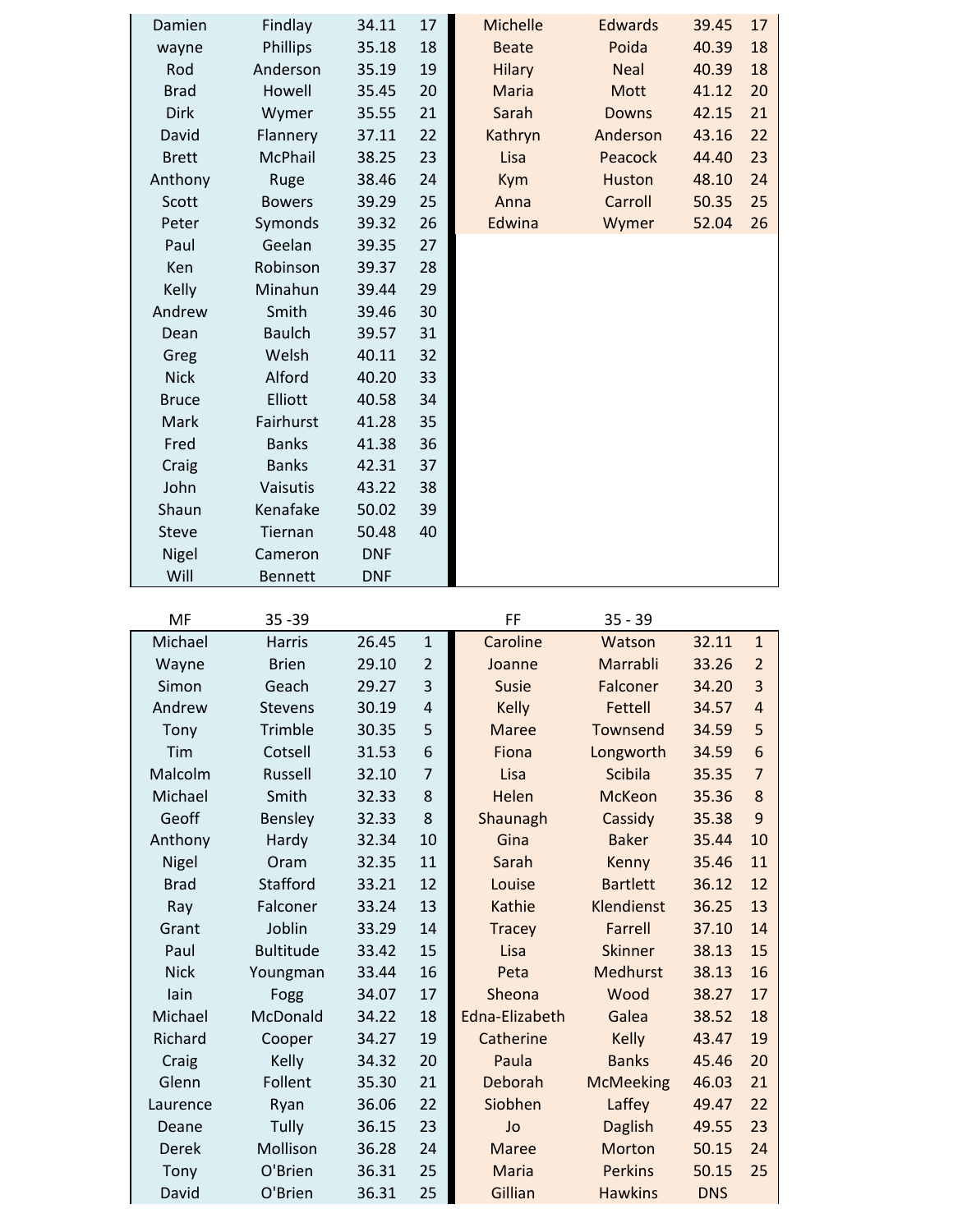| Damien       | Findlay        | 34.11      | 17 | Michelle      | <b>Edwards</b> | 39.45 | 17 |
|--------------|----------------|------------|----|---------------|----------------|-------|----|
| wayne        | Phillips       | 35.18      | 18 | <b>Beate</b>  | Poida          | 40.39 | 18 |
| Rod          | Anderson       | 35.19      | 19 | <b>Hilary</b> | <b>Neal</b>    | 40.39 | 18 |
| <b>Brad</b>  | Howell         | 35.45      | 20 | Maria         | Mott           | 41.12 | 20 |
| <b>Dirk</b>  | Wymer          | 35.55      | 21 | Sarah         | <b>Downs</b>   | 42.15 | 21 |
| David        | Flannery       | 37.11      | 22 | Kathryn       | Anderson       | 43.16 | 22 |
| <b>Brett</b> | McPhail        | 38.25      | 23 | Lisa          | Peacock        | 44.40 | 23 |
| Anthony      | Ruge           | 38.46      | 24 | <b>Kym</b>    | <b>Huston</b>  | 48.10 | 24 |
| Scott        | <b>Bowers</b>  | 39.29      | 25 | Anna          | Carroll        | 50.35 | 25 |
| Peter        | Symonds        | 39.32      | 26 | Edwina        | Wymer          | 52.04 | 26 |
| Paul         | Geelan         | 39.35      | 27 |               |                |       |    |
| Ken          | Robinson       | 39.37      | 28 |               |                |       |    |
| Kelly        | Minahun        | 39.44      | 29 |               |                |       |    |
| Andrew       | Smith          | 39.46      | 30 |               |                |       |    |
| Dean         | <b>Baulch</b>  | 39.57      | 31 |               |                |       |    |
| Greg         | Welsh          | 40.11      | 32 |               |                |       |    |
| <b>Nick</b>  | Alford         | 40.20      | 33 |               |                |       |    |
| <b>Bruce</b> | Elliott        | 40.58      | 34 |               |                |       |    |
| Mark         | Fairhurst      | 41.28      | 35 |               |                |       |    |
| Fred         | <b>Banks</b>   | 41.38      | 36 |               |                |       |    |
| Craig        | <b>Banks</b>   | 42.31      | 37 |               |                |       |    |
| John         | Vaisutis       | 43.22      | 38 |               |                |       |    |
| Shaun        | Kenafake       | 50.02      | 39 |               |                |       |    |
| <b>Steve</b> | Tiernan        | 50.48      | 40 |               |                |       |    |
| Nigel        | Cameron        | <b>DNF</b> |    |               |                |       |    |
| Will         | <b>Bennett</b> | <b>DNF</b> |    |               |                |       |    |

| MF           | $35 - 39$        |       |                | FF             | $35 - 39$        |            |                |
|--------------|------------------|-------|----------------|----------------|------------------|------------|----------------|
| Michael      | <b>Harris</b>    | 26.45 | $\mathbf{1}$   | Caroline       | Watson           | 32.11      | $\mathbf{1}$   |
| Wayne        | <b>Brien</b>     | 29.10 | $\overline{2}$ | Joanne         | Marrabli         | 33.26      | $\overline{2}$ |
| Simon        | Geach            | 29.27 | 3              | <b>Susie</b>   | Falconer         | 34.20      | 3              |
| Andrew       | <b>Stevens</b>   | 30.19 | $\overline{4}$ | <b>Kelly</b>   | <b>Fettell</b>   | 34.57      | $\overline{4}$ |
| Tony         | Trimble          | 30.35 | 5              | <b>Maree</b>   | Townsend         | 34.59      | 5              |
| Tim          | Cotsell          | 31.53 | 6              | Fiona          | Longworth        | 34.59      | 6              |
| Malcolm      | Russell          | 32.10 | $\overline{7}$ | Lisa           | <b>Scibila</b>   | 35.35      | $\overline{7}$ |
| Michael      | Smith            | 32.33 | 8              | Helen          | <b>McKeon</b>    | 35.36      | 8              |
| Geoff        | <b>Bensley</b>   | 32.33 | 8              | Shaunagh       | Cassidy          | 35.38      | 9              |
| Anthony      | Hardy            | 32.34 | 10             | Gina           | <b>Baker</b>     | 35.44      | 10             |
| <b>Nigel</b> | Oram             | 32.35 | 11             | Sarah          | Kenny            | 35.46      | 11             |
| <b>Brad</b>  | <b>Stafford</b>  | 33.21 | 12             | Louise         | <b>Bartlett</b>  | 36.12      | 12             |
| Ray          | Falconer         | 33.24 | 13             | Kathie         | Klendienst       | 36.25      | 13             |
| Grant        | Joblin           | 33.29 | 14             | <b>Tracey</b>  | <b>Farrell</b>   | 37.10      | 14             |
| Paul         | <b>Bultitude</b> | 33.42 | 15             | Lisa           | <b>Skinner</b>   | 38.13      | 15             |
| <b>Nick</b>  | Youngman         | 33.44 | 16             | Peta           | <b>Medhurst</b>  | 38.13      | 16             |
| lain         | Fogg             | 34.07 | 17             | Sheona         | Wood             | 38.27      | 17             |
| Michael      | McDonald         | 34.22 | 18             | Edna-Elizabeth | Galea            | 38.52      | 18             |
| Richard      | Cooper           | 34.27 | 19             | Catherine      | <b>Kelly</b>     | 43.47      | 19             |
| Craig        | Kelly            | 34.32 | 20             | Paula          | <b>Banks</b>     | 45.46      | 20             |
| Glenn        | Follent          | 35.30 | 21             | Deborah        | <b>McMeeking</b> | 46.03      | 21             |
| Laurence     | Ryan             | 36.06 | 22             | Siobhen        | Laffey           | 49.47      | 22             |
| Deane        | Tully            | 36.15 | 23             | Jo             | <b>Daglish</b>   | 49.55      | 23             |
| Derek        | Mollison         | 36.28 | 24             | <b>Maree</b>   | Morton           | 50.15      | 24             |
| Tony         | O'Brien          | 36.31 | 25             | Maria          | <b>Perkins</b>   | 50.15      | 25             |
| David        | O'Brien          | 36.31 | 25             | Gillian        | <b>Hawkins</b>   | <b>DNS</b> |                |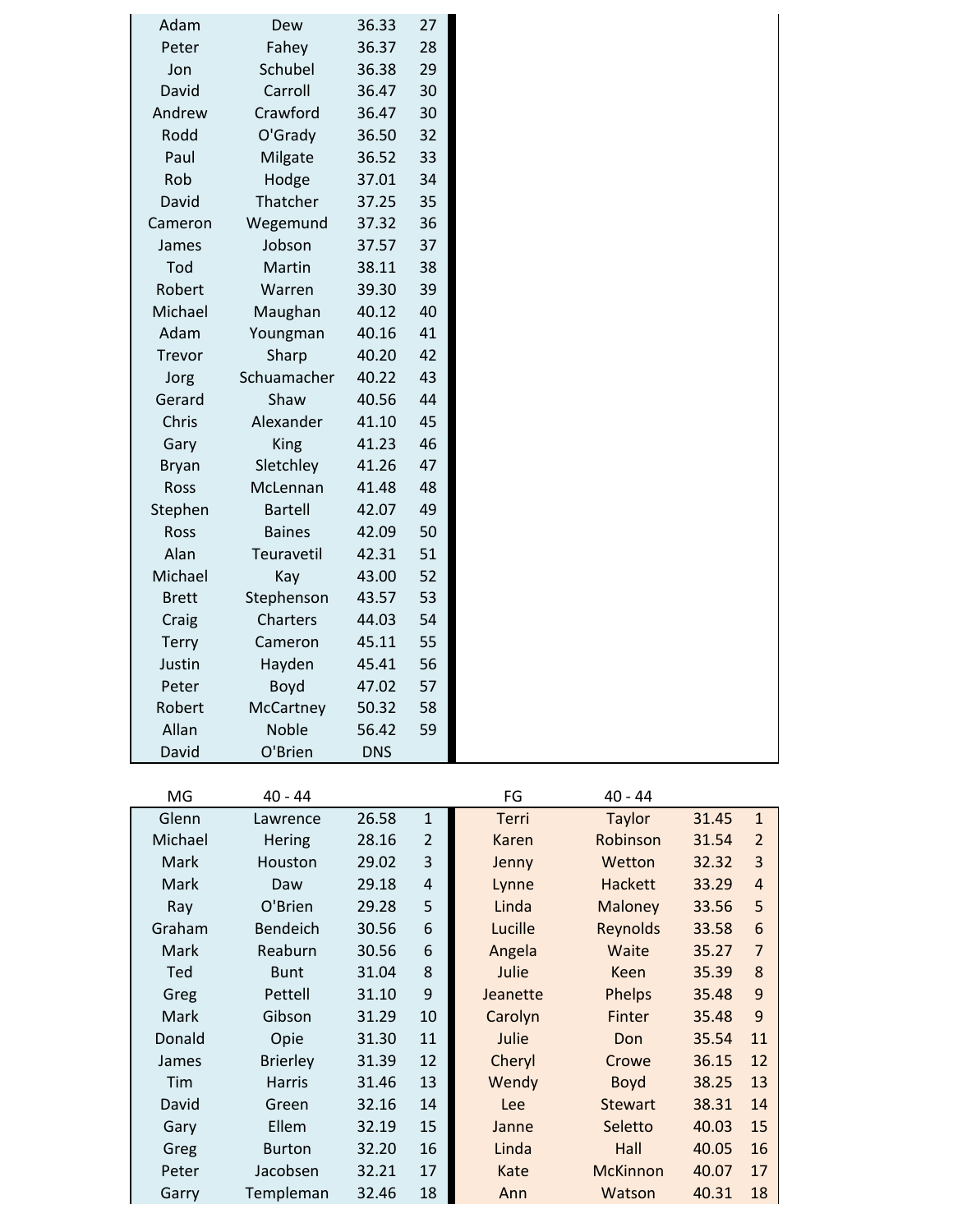| Adam         | Dew            | 36.33      | 27 |
|--------------|----------------|------------|----|
| Peter        | Fahey          | 36.37      | 28 |
| Jon          | Schubel        | 36.38      | 29 |
| David        | Carroll        | 36.47      | 30 |
| Andrew       | Crawford       | 36.47      | 30 |
| Rodd         | O'Grady        | 36.50      | 32 |
| Paul         | Milgate        | 36.52      | 33 |
| Rob          | Hodge          | 37.01      | 34 |
| David        | Thatcher       | 37.25      | 35 |
| Cameron      | Wegemund       | 37.32      | 36 |
| James        | Jobson         | 37.57      | 37 |
| Tod          | Martin         | 38.11      | 38 |
| Robert       | Warren         | 39.30      | 39 |
| Michael      | Maughan        | 40.12      | 40 |
| Adam         | Youngman       | 40.16      | 41 |
| Trevor       | Sharp          | 40.20      | 42 |
| Jorg         | Schuamacher    | 40.22      | 43 |
| Gerard       | Shaw           | 40.56      | 44 |
| Chris        | Alexander      | 41.10      | 45 |
| Gary         | King           | 41.23      | 46 |
| <b>Bryan</b> | Sletchley      | 41.26      | 47 |
| Ross         | McLennan       | 41.48      | 48 |
| Stephen      | <b>Bartell</b> | 42.07      | 49 |
| Ross         | <b>Baines</b>  | 42.09      | 50 |
| Alan         | Teuravetil     | 42.31      | 51 |
| Michael      | Kay            | 43.00      | 52 |
| <b>Brett</b> | Stephenson     | 43.57      | 53 |
| Craig        | Charters       | 44.03      | 54 |
| <b>Terry</b> | Cameron        | 45.11      | 55 |
| Justin       | Hayden         | 45.41      | 56 |
| Peter        | Boyd           | 47.02      | 57 |
| Robert       | McCartney      | 50.32      | 58 |
| Allan        | Noble          | 56.42      | 59 |
| David        | O'Brien        | <b>DNS</b> |    |

| MG      | $40 - 44$       |       |                | FG           | $40 - 44$       |       |                |
|---------|-----------------|-------|----------------|--------------|-----------------|-------|----------------|
| Glenn   | Lawrence        | 26.58 | $\mathbf{1}$   | <b>Terri</b> | Taylor          | 31.45 | $\mathbf{1}$   |
| Michael | <b>Hering</b>   | 28.16 | $\overline{2}$ | Karen        | Robinson        | 31.54 | $\overline{2}$ |
| Mark    | Houston         | 29.02 | 3              | Jenny        | Wetton          | 32.32 | 3              |
| Mark    | Daw             | 29.18 | $\pmb{4}$      | Lynne        | <b>Hackett</b>  | 33.29 | 4              |
| Ray     | O'Brien         | 29.28 | 5              | Linda        | <b>Maloney</b>  | 33.56 | 5              |
| Graham  | <b>Bendeich</b> | 30.56 | 6              | Lucille      | Reynolds        | 33.58 | 6              |
| Mark    | Reaburn         | 30.56 | 6              | Angela       | Waite           | 35.27 | 7              |
| Ted     | <b>Bunt</b>     | 31.04 | 8              | Julie        | <b>Keen</b>     | 35.39 | 8              |
| Greg    | Pettell         | 31.10 | 9              | Jeanette     | <b>Phelps</b>   | 35.48 | 9              |
| Mark    | Gibson          | 31.29 | 10             | Carolyn      | Finter          | 35.48 | 9              |
| Donald  | Opie            | 31.30 | 11             | Julie        | Don             | 35.54 | 11             |
| James   | <b>Brierley</b> | 31.39 | 12             | Cheryl       | Crowe           | 36.15 | 12             |
| Tim     | <b>Harris</b>   | 31.46 | 13             | Wendy        | <b>Boyd</b>     | 38.25 | 13             |
| David   | Green           | 32.16 | 14             | Lee          | <b>Stewart</b>  | 38.31 | 14             |
| Gary    | Ellem           | 32.19 | 15             | Janne        | Seletto         | 40.03 | 15             |
| Greg    | <b>Burton</b>   | 32.20 | 16             | Linda        | Hall            | 40.05 | 16             |
| Peter   | Jacobsen        | 32.21 | 17             | Kate         | <b>McKinnon</b> | 40.07 | 17             |
| Garry   | Templeman       | 32.46 | 18             | Ann          | Watson          | 40.31 | 18             |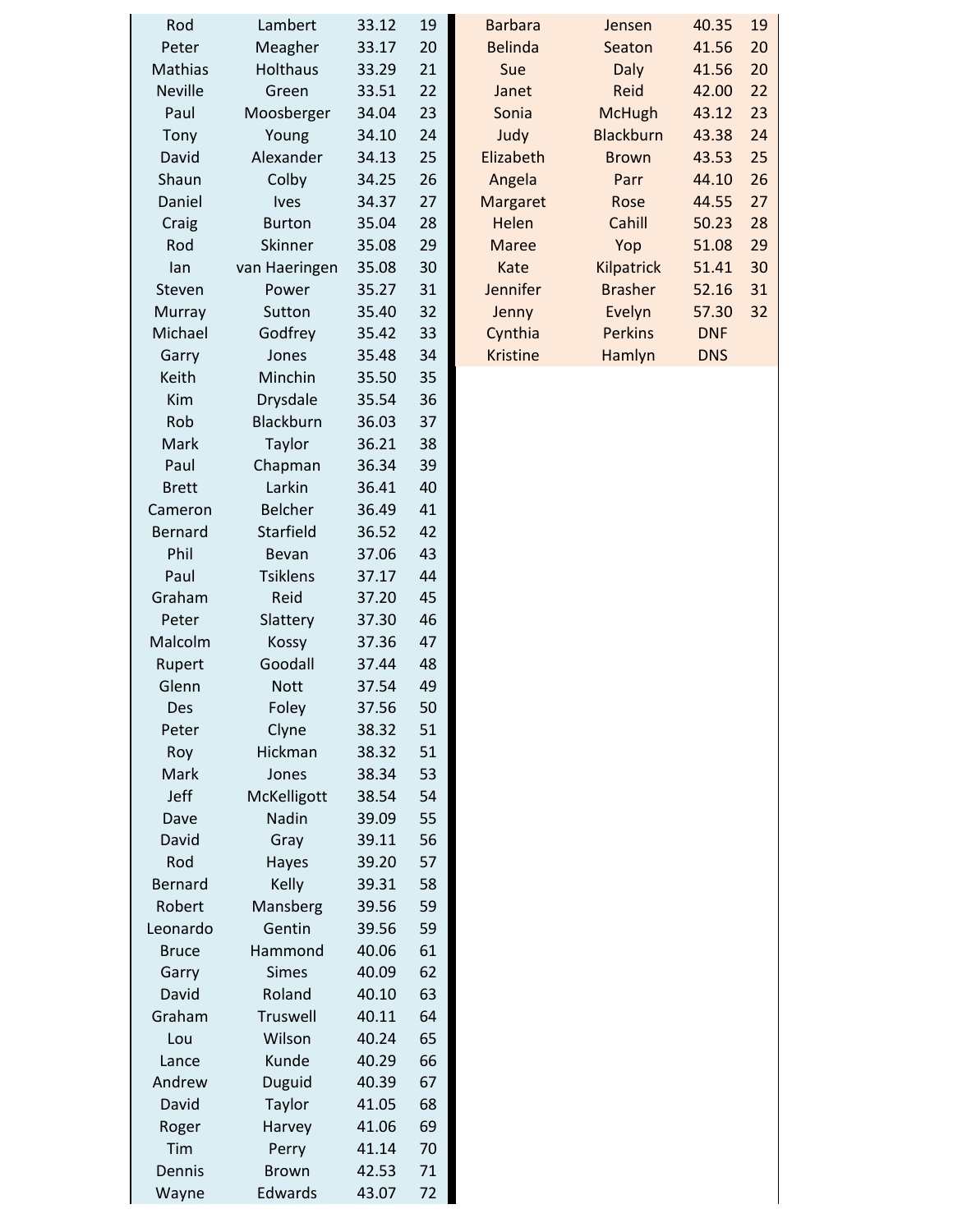| Rod<br>Peter   | Lambert<br>Meagher | 33.12<br>33.17 | 19<br>20 | <b>Barbara</b><br><b>Belinda</b> | Jensen<br>Seaton | 40.35<br>41.56 | 19<br>20 |
|----------------|--------------------|----------------|----------|----------------------------------|------------------|----------------|----------|
| Mathias        | Holthaus           | 33.29          | 21       | Sue                              | <b>Daly</b>      | 41.56          | 20       |
| <b>Neville</b> | Green              | 33.51          | 22       | Janet                            | Reid             | 42.00          | 22       |
| Paul           | Moosberger         | 34.04          | 23       | Sonia                            | <b>McHugh</b>    | 43.12          | 23       |
| Tony           | Young              | 34.10          | 24       | Judy                             | <b>Blackburn</b> | 43.38          | 24       |
| David          | Alexander          | 34.13          | 25       | Elizabeth                        | <b>Brown</b>     | 43.53          | 25       |
| Shaun          | Colby              | 34.25          | 26       | Angela                           | Parr             | 44.10          | 26       |
| Daniel         | <b>lves</b>        | 34.37          | 27       | Margaret                         | Rose             | 44.55          | 27       |
| Craig          | <b>Burton</b>      | 35.04          | 28       | Helen                            | Cahill           | 50.23          | 28       |
| Rod            | Skinner            | 35.08          | 29       | <b>Maree</b>                     | Yop              | 51.08          | 29       |
| lan            | van Haeringen      | 35.08          | 30       | Kate                             | Kilpatrick       | 51.41          | 30       |
| Steven         | Power              | 35.27          | 31       | Jennifer                         | <b>Brasher</b>   | 52.16          | 31       |
| Murray         | Sutton             | 35.40          | 32       | Jenny                            | Evelyn           | 57.30          | 32       |
| Michael        | Godfrey            | 35.42          | 33       | Cynthia                          | <b>Perkins</b>   | <b>DNF</b>     |          |
| Garry          | Jones              | 35.48          | 34       | <b>Kristine</b>                  | Hamlyn           | <b>DNS</b>     |          |
| Keith          | Minchin            | 35.50          | 35       |                                  |                  |                |          |
| Kim            | Drysdale           | 35.54          | 36       |                                  |                  |                |          |
| Rob            | Blackburn          | 36.03          | 37       |                                  |                  |                |          |
| Mark           | Taylor             | 36.21          | 38       |                                  |                  |                |          |
| Paul           | Chapman            | 36.34          | 39       |                                  |                  |                |          |
| <b>Brett</b>   | Larkin             | 36.41          | 40       |                                  |                  |                |          |
| Cameron        | <b>Belcher</b>     | 36.49          | 41       |                                  |                  |                |          |
| Bernard        | Starfield          | 36.52          | 42       |                                  |                  |                |          |
| Phil           | Bevan              | 37.06          | 43       |                                  |                  |                |          |
| Paul           | <b>Tsiklens</b>    | 37.17          | 44       |                                  |                  |                |          |
| Graham         | Reid               | 37.20          | 45       |                                  |                  |                |          |
| Peter          | Slattery           | 37.30          | 46       |                                  |                  |                |          |
| Malcolm        | Kossy              | 37.36          | 47       |                                  |                  |                |          |
| Rupert         | Goodall            | 37.44          | 48       |                                  |                  |                |          |
| Glenn          | <b>Nott</b>        | 37.54          | 49       |                                  |                  |                |          |
| Des            | Foley              | 37.56          | 50       |                                  |                  |                |          |
| Peter          | Clyne              | 38.32          | 51       |                                  |                  |                |          |
| Roy            | Hickman            | 38.32          | 51       |                                  |                  |                |          |
| Mark           | Jones              | 38.34          | 53       |                                  |                  |                |          |
| Jeff           | McKelligott        | 38.54          | 54       |                                  |                  |                |          |
| Dave           | Nadin              | 39.09          | 55       |                                  |                  |                |          |
| David          | Gray               | 39.11          | 56       |                                  |                  |                |          |
| Rod            | Hayes              | 39.20          | 57       |                                  |                  |                |          |
| Bernard        | Kelly              | 39.31          | 58       |                                  |                  |                |          |
| Robert         | Mansberg           | 39.56          | 59       |                                  |                  |                |          |
| Leonardo       | Gentin             | 39.56          | 59       |                                  |                  |                |          |
| <b>Bruce</b>   | Hammond            | 40.06          | 61       |                                  |                  |                |          |
| Garry          | <b>Simes</b>       | 40.09          | 62       |                                  |                  |                |          |
| David          | Roland             | 40.10          | 63       |                                  |                  |                |          |
| Graham         | Truswell           | 40.11          | 64       |                                  |                  |                |          |
| Lou            | Wilson             | 40.24          | 65       |                                  |                  |                |          |
| Lance          | Kunde              | 40.29          | 66       |                                  |                  |                |          |
| Andrew         | Duguid             | 40.39          | 67       |                                  |                  |                |          |
| David          | Taylor             | 41.05          | 68       |                                  |                  |                |          |
| Roger          | Harvey             | 41.06          | 69       |                                  |                  |                |          |
| Tim            | Perry              | 41.14          | 70       |                                  |                  |                |          |
| Dennis         | <b>Brown</b>       | 42.53          | 71       |                                  |                  |                |          |
| Wayne          | Edwards            | 43.07          | 72       |                                  |                  |                |          |
|                |                    |                |          |                                  |                  |                |          |

| Rod    | Lambert         | 33.12 | 19 | <b>Barbara</b>  | Jensen           | 40.35      | 19 |
|--------|-----------------|-------|----|-----------------|------------------|------------|----|
| eter?  | Meagher         | 33.17 | 20 | <b>Belinda</b>  | Seaton           | 41.56      | 20 |
| athias | <b>Holthaus</b> | 33.29 | 21 | Sue             | <b>Daly</b>      | 41.56      | 20 |
| eville | Green           | 33.51 | 22 | Janet           | Reid             | 42.00      | 22 |
| Paul   | Moosberger      | 34.04 | 23 | Sonia           | <b>McHugh</b>    | 43.12      | 23 |
| Tony   | Young           | 34.10 | 24 | Judy            | <b>Blackburn</b> | 43.38      | 24 |
| )avid  | Alexander       | 34.13 | 25 | Elizabeth       | <b>Brown</b>     | 43.53      | 25 |
| haun   | Colby           | 34.25 | 26 | Angela          | Parr             | 44.10      | 26 |
| aniel  | <b>lves</b>     | 34.37 | 27 | Margaret        | Rose             | 44.55      | 27 |
| Craig  | <b>Burton</b>   | 35.04 | 28 | Helen           | Cahill           | 50.23      | 28 |
| Rod    | Skinner         | 35.08 | 29 | <b>Maree</b>    | Yop              | 51.08      | 29 |
| lan    | van Haeringen   | 35.08 | 30 | Kate            | Kilpatrick       | 51.41      | 30 |
| teven  | Power           | 35.27 | 31 | <b>Jennifer</b> | <b>Brasher</b>   | 52.16      | 31 |
| lurray | Sutton          | 35.40 | 32 | Jenny           | Evelyn           | 57.30      | 32 |
| ichael | Godfrey         | 35.42 | 33 | Cynthia         | <b>Perkins</b>   | <b>DNF</b> |    |
| Garry  | Jones           | 35.48 | 34 | <b>Kristine</b> | Hamlyn           | <b>DNS</b> |    |
| `eith  | Minchin         | 35 50 | २५ |                 |                  |            |    |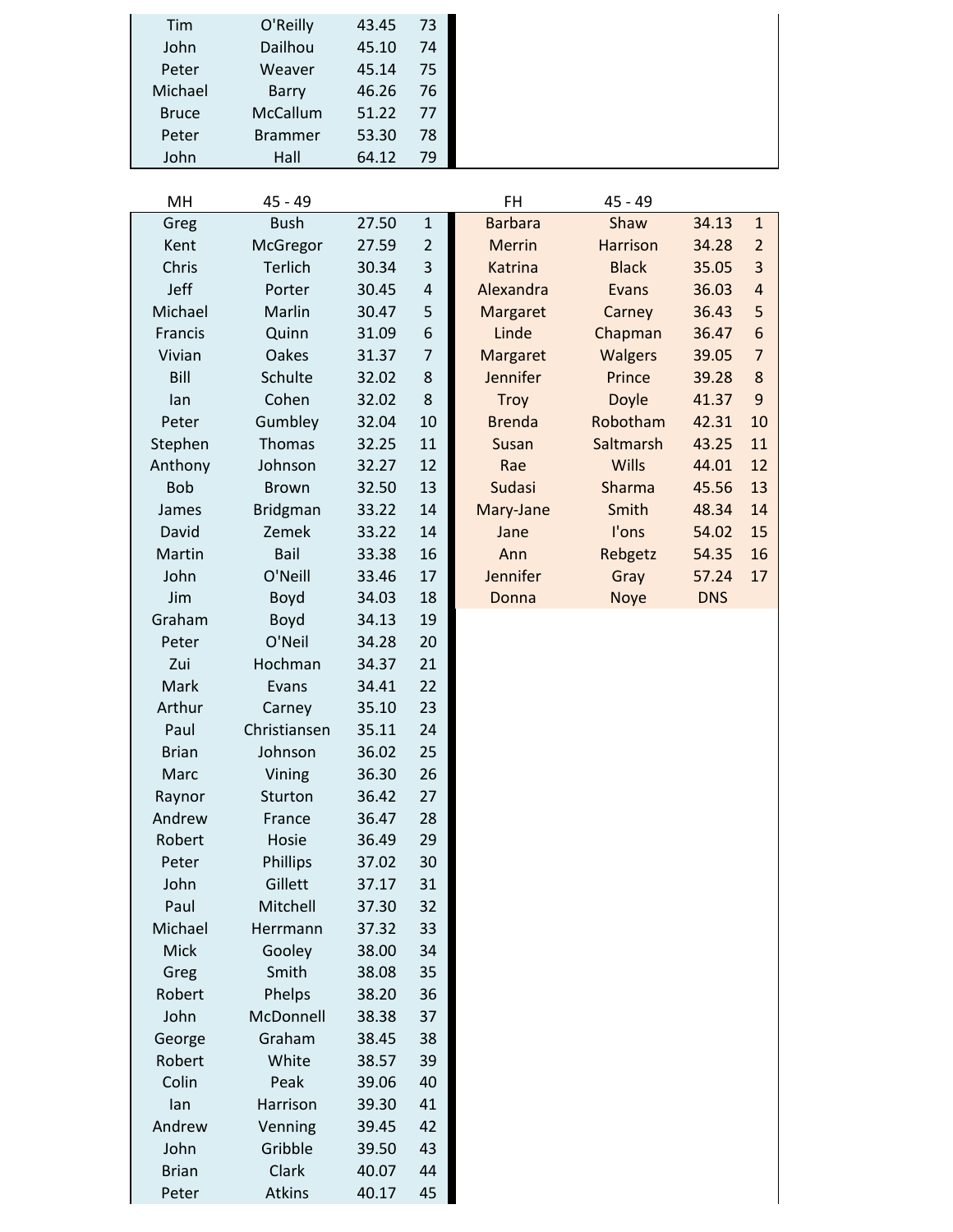| Tim          | O'Reilly        | 43.45 | 73             |                |                 |            |                         |
|--------------|-----------------|-------|----------------|----------------|-----------------|------------|-------------------------|
| John         | Dailhou         | 45.10 | 74             |                |                 |            |                         |
| Peter        | Weaver          | 45.14 | 75             |                |                 |            |                         |
| Michael      | <b>Barry</b>    | 46.26 | 76             |                |                 |            |                         |
| <b>Bruce</b> | McCallum        | 51.22 | 77             |                |                 |            |                         |
| Peter        | <b>Brammer</b>  | 53.30 | 78             |                |                 |            |                         |
| John         | Hall            | 64.12 | 79             |                |                 |            |                         |
|              |                 |       |                |                |                 |            |                         |
| MH           | 45 - 49         |       |                | FH             | 45 - 49         |            |                         |
| Greg         | <b>Bush</b>     | 27.50 | $\mathbf 1$    | <b>Barbara</b> | Shaw            | 34.13      | $\mathbf{1}$            |
| Kent         | McGregor        | 27.59 | $\overline{2}$ | <b>Merrin</b>  | <b>Harrison</b> | 34.28      | $\overline{2}$          |
| Chris        | <b>Terlich</b>  | 30.34 | 3              | <b>Katrina</b> | <b>Black</b>    | 35.05      | 3                       |
| Jeff         | Porter          | 30.45 | $\overline{4}$ | Alexandra      | Evans           | 36.03      | $\overline{\mathbf{r}}$ |
| Michael      | Marlin          | 30.47 | 5              | Margaret       | Carney          | 36.43      | 5                       |
| Francis      | Quinn           | 31.09 | 6              | Linde          | Chapman         | 36.47      | 6                       |
| Vivian       | <b>Oakes</b>    | 31.37 | $\overline{7}$ | Margaret       | <b>Walgers</b>  | 39.05      | $\overline{7}$          |
| Bill         | Schulte         | 32.02 | 8              | Jennifer       | Prince          | 39.28      | 8                       |
| lan          | Cohen           | 32.02 | 8              | <b>Troy</b>    | <b>Doyle</b>    | 41.37      | 9                       |
| Peter        | Gumbley         | 32.04 | 10             | <b>Brenda</b>  | Robotham        | 42.31      | 10                      |
| Stephen      | Thomas          | 32.25 | 11             | Susan          | Saltmarsh       | 43.25      | 11                      |
| Anthony      | Johnson         | 32.27 | 12             | Rae            | Wills           | 44.01      | 12                      |
| <b>Bob</b>   | <b>Brown</b>    | 32.50 | 13             | <b>Sudasi</b>  | Sharma          | 45.56      | 13                      |
| James        | <b>Bridgman</b> | 33.22 | 14             | Mary-Jane      | Smith           | 48.34      | 14                      |
| David        | Zemek           | 33.22 | 14             | Jane           | l'ons           | 54.02      | 15                      |
| Martin       | Bail            | 33.38 | 16             | Ann            | Rebgetz         | 54.35      | 16                      |
| John         | O'Neill         | 33.46 | 17             | Jennifer       | Gray            | 57.24      | 17                      |
| Jim          | Boyd            | 34.03 | 18             | Donna          | Noye            | <b>DNS</b> |                         |
| Graham       | Boyd            | 34.13 | 19             |                |                 |            |                         |
| Peter        | O'Neil          | 34.28 | 20             |                |                 |            |                         |
| Zui          | Hochman         | 34.37 | 21             |                |                 |            |                         |
| Mark         | Evans           | 34.41 | 22             |                |                 |            |                         |
| Arthur       | Carney          | 35.10 | 23             |                |                 |            |                         |
| Paul         | Christiansen    | 35.11 | 24             |                |                 |            |                         |
| <b>Brian</b> | Johnson         | 36.02 | 25             |                |                 |            |                         |
| Marc         | Vining          | 36.30 | 26             |                |                 |            |                         |
| Raynor       | Sturton         | 36.42 | 27             |                |                 |            |                         |
| Andrew       | France          | 36.47 | 28             |                |                 |            |                         |
| Robert       | Hosie           | 36.49 | 29             |                |                 |            |                         |
| Peter        | Phillips        | 37.02 | 30             |                |                 |            |                         |
| John         | Gillett         | 37.17 | 31             |                |                 |            |                         |
| Paul         | Mitchell        | 37.30 | 32             |                |                 |            |                         |
| Michael      | Herrmann        | 37.32 | 33             |                |                 |            |                         |
| Mick         | Gooley          | 38.00 | 34             |                |                 |            |                         |
| Greg         | Smith           | 38.08 | 35             |                |                 |            |                         |
| Robert       | Phelps          | 38.20 | 36             |                |                 |            |                         |
| John         | McDonnell       | 38.38 | 37             |                |                 |            |                         |
| George       | Graham          | 38.45 | 38             |                |                 |            |                         |
| Robert       | White           | 38.57 | 39             |                |                 |            |                         |
| Colin        | Peak            | 39.06 | 40             |                |                 |            |                         |
| lan          | Harrison        | 39.30 | 41             |                |                 |            |                         |
| Andrew       | Venning         | 39.45 | 42             |                |                 |            |                         |
| John         | Gribble         | 39.50 | 43             |                |                 |            |                         |
| <b>Brian</b> | Clark           | 40.07 | 44             |                |                 |            |                         |
| Peter        | Atkins          | 40.17 | 45             |                |                 |            |                         |

Tim O'Reilly 43.45 73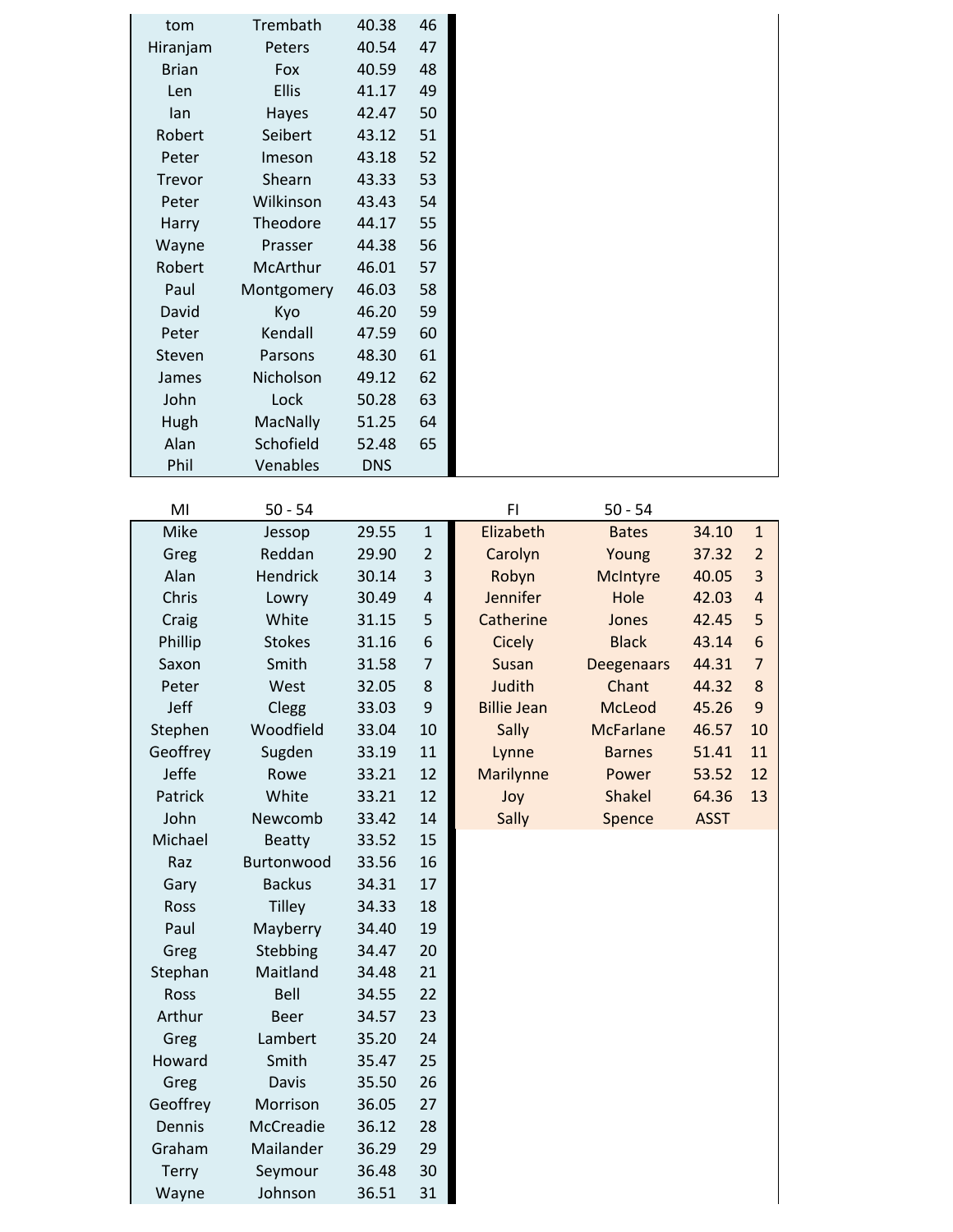| tom           | Trembath      | 40.38      | 46             |                    |                   |             |                  |
|---------------|---------------|------------|----------------|--------------------|-------------------|-------------|------------------|
| Hiranjam      | Peters        | 40.54      | 47             |                    |                   |             |                  |
| <b>Brian</b>  | Fox           | 40.59      | 48             |                    |                   |             |                  |
| Len           | <b>Ellis</b>  | 41.17      | 49             |                    |                   |             |                  |
| lan           | Hayes         | 42.47      | 50             |                    |                   |             |                  |
| Robert        | Seibert       | 43.12      | 51             |                    |                   |             |                  |
| Peter         | Imeson        | 43.18      | 52             |                    |                   |             |                  |
| <b>Trevor</b> | Shearn        | 43.33      | 53             |                    |                   |             |                  |
| Peter         | Wilkinson     | 43.43      | 54             |                    |                   |             |                  |
| Harry         | Theodore      | 44.17      | 55             |                    |                   |             |                  |
| Wayne         | Prasser       | 44.38      | 56             |                    |                   |             |                  |
| Robert        | McArthur      | 46.01      | 57             |                    |                   |             |                  |
| Paul          | Montgomery    | 46.03      | 58             |                    |                   |             |                  |
| David         | Kyo           | 46.20      | 59             |                    |                   |             |                  |
| Peter         | Kendall       | 47.59      | 60             |                    |                   |             |                  |
| Steven        | Parsons       | 48.30      | 61             |                    |                   |             |                  |
| James         | Nicholson     | 49.12      | 62             |                    |                   |             |                  |
| John          | Lock          | 50.28      | 63             |                    |                   |             |                  |
| Hugh          | MacNally      | 51.25      | 64             |                    |                   |             |                  |
| Alan          | Schofield     | 52.48      | 65             |                    |                   |             |                  |
| Phil          | Venables      | <b>DNS</b> |                |                    |                   |             |                  |
|               |               |            |                |                    |                   |             |                  |
| MI            | $50 - 54$     |            |                | F1                 | $50 - 54$         |             |                  |
| Mike          | Jessop        | 29.55      | $\mathbf{1}$   | Elizabeth          | <b>Bates</b>      | 34.10       | $\mathbf{1}$     |
| Greg          | Reddan        | 29.90      | $\overline{2}$ | Carolyn            | Young             | 37.32       | $\overline{2}$   |
| Alan          | Hendrick      | 30.14      | 3              | Robyn              | McIntyre          | 40.05       | 3                |
| Chris         | Lowry         | 30.49      | 4              | Jennifer           | Hole              | 42.03       | $\overline{a}$   |
| Craig         | White         | 31.15      | 5              | Catherine          | Jones             | 42.45       | 5                |
| Phillip       | <b>Stokes</b> | 31.16      | 6              | <b>Cicely</b>      | <b>Black</b>      | 43.14       | $\boldsymbol{6}$ |
| Saxon         | Smith         | 31.58      | 7              | <b>Susan</b>       | <b>Deegenaars</b> | 44.31       | $\overline{7}$   |
| Peter         | West          | 32.05      | 8              | Judith             | Chant             | 44.32       | 8                |
| Jeff          | Clegg         | 33.03      | 9              | <b>Billie Jean</b> | McLeod            | 45.26       | 9                |
| Stephen       | Woodfield     | 33.04      | 10             | Sally              | <b>McFarlane</b>  | 46.57       | 10               |
| Geoffrey      | Sugden        | 33.19      | 11             | Lynne              | <b>Barnes</b>     | 51.41       | 11               |
| Jeffe         | Rowe          | 33.21      | 12             | <b>Marilynne</b>   | Power             | 53.52       | 12               |
| Patrick       | White         | 33.21      | 12             | Joy                | <b>Shakel</b>     | 64.36       | 13               |
| John          | Newcomb       | 33.42      | 14             | Sally              | Spence            | <b>ASST</b> |                  |
| Michael       | <b>Beatty</b> | 33.52      | 15             |                    |                   |             |                  |
| Raz           | Burtonwood    | 33.56      | 16             |                    |                   |             |                  |
| Gary          | <b>Backus</b> | 34.31      | 17             |                    |                   |             |                  |
| Ross          | <b>Tilley</b> | 34.33      | 18             |                    |                   |             |                  |
| Paul          | Mayberry      | 34.40      | 19             |                    |                   |             |                  |
| Greg          | Stebbing      | 34.47      | 20             |                    |                   |             |                  |
| Stephan       | Maitland      | 34.48      | 21             |                    |                   |             |                  |
| Ross          | Bell          | 34.55      | 22             |                    |                   |             |                  |
| Arthur        | <b>Beer</b>   | 34.57      | 23             |                    |                   |             |                  |
| Greg          | Lambert       | 35.20      | 24             |                    |                   |             |                  |
| Howard        | Smith         | 35.47      | 25             |                    |                   |             |                  |
| Greg          | Davis         | 35.50      | 26             |                    |                   |             |                  |
| Geoffrey      | Morrison      | 36.05      | 27             |                    |                   |             |                  |
| Dennis        | McCreadie     | 36.12      | 28             |                    |                   |             |                  |
| Graham        | Mailander     | 36.29      | 29             |                    |                   |             |                  |
| <b>Terry</b>  | Seymour       | 36.48      | 30             |                    |                   |             |                  |
| Wayne         | Johnson       | 36.51      | 31             |                    |                   |             |                  |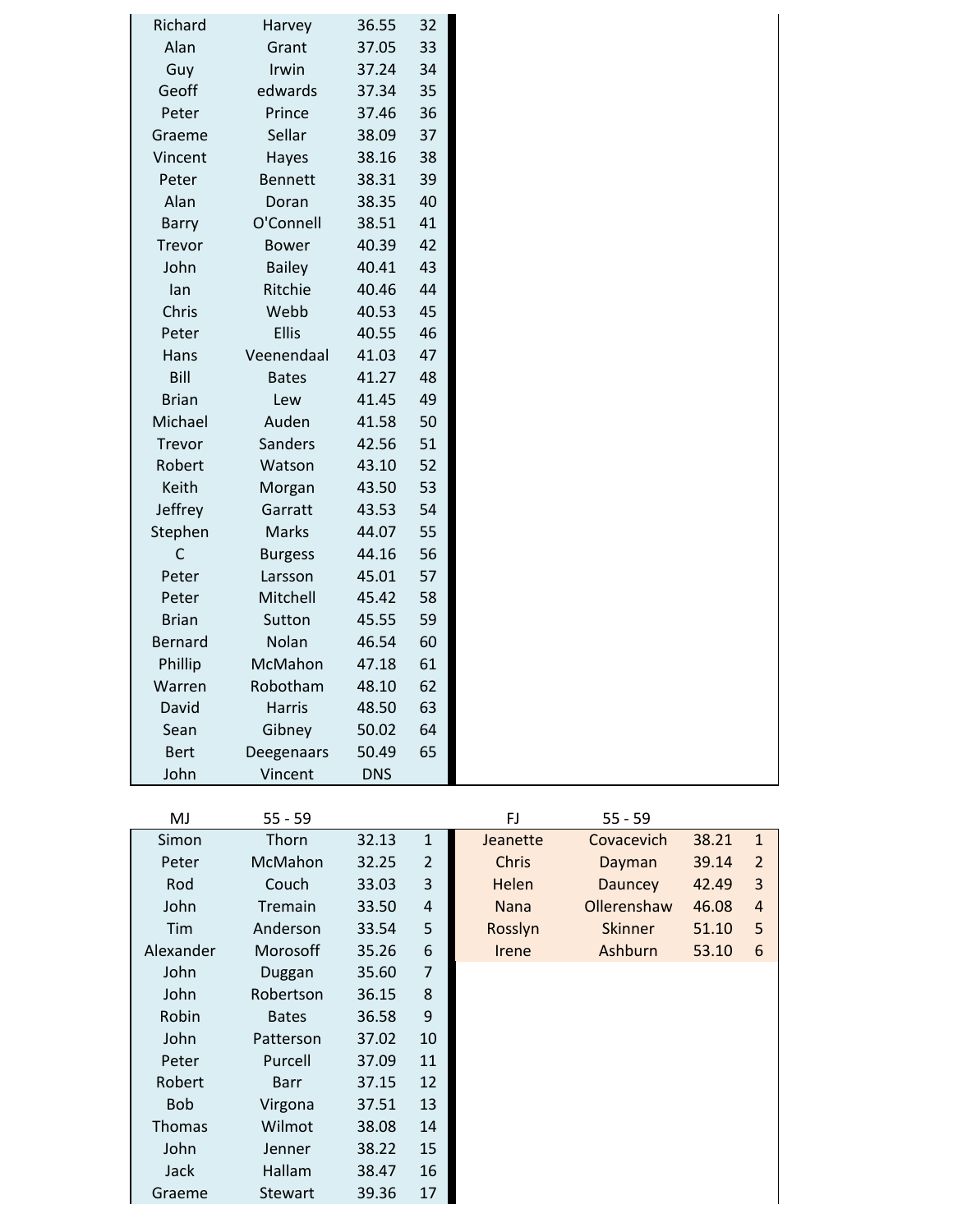| Richard        | Harvey         | 36.55      | 32 |
|----------------|----------------|------------|----|
| Alan           | Grant          | 37.05      | 33 |
| Guy            | Irwin          | 37.24      | 34 |
| Geoff          | edwards        | 37.34      | 35 |
| Peter          | Prince         | 37.46      | 36 |
| Graeme         | Sellar         | 38.09      | 37 |
| Vincent        | Hayes          | 38.16      | 38 |
| Peter          | <b>Bennett</b> | 38.31      | 39 |
| Alan           | Doran          | 38.35      | 40 |
| Barry          | O'Connell      | 38.51      | 41 |
| Trevor         | <b>Bower</b>   | 40.39      | 42 |
| John           | <b>Bailey</b>  | 40.41      | 43 |
| lan            | Ritchie        | 40.46      | 44 |
| Chris          | Webb           | 40.53      | 45 |
| Peter          | <b>Ellis</b>   | 40.55      | 46 |
| Hans           | Veenendaal     | 41.03      | 47 |
| Bill           | <b>Bates</b>   | 41.27      | 48 |
| <b>Brian</b>   | Lew            | 41.45      | 49 |
| Michael        | Auden          | 41.58      | 50 |
| Trevor         | Sanders        | 42.56      | 51 |
| Robert         | Watson         | 43.10      | 52 |
| Keith          | Morgan         | 43.50      | 53 |
| Jeffrey        | Garratt        | 43.53      | 54 |
| Stephen        | Marks          | 44.07      | 55 |
| C              | <b>Burgess</b> | 44.16      | 56 |
| Peter          | Larsson        | 45.01      | 57 |
| Peter          | Mitchell       | 45.42      | 58 |
| <b>Brian</b>   | Sutton         | 45.55      | 59 |
| <b>Bernard</b> | Nolan          | 46.54      | 60 |
| Phillip        | McMahon        | 47.18      | 61 |
| Warren         | Robotham       | 48.10      | 62 |
| David          | <b>Harris</b>  | 48.50      | 63 |
| Sean           | Gibney         | 50.02      | 64 |
| <b>Bert</b>    | Deegenaars     | 50.49      | 65 |
| John           | Vincent        | <b>DNS</b> |    |
|                |                |            |    |

| MJ            | $55 - 59$      |       |                         | FJ           | $55 - 59$      |       |                |
|---------------|----------------|-------|-------------------------|--------------|----------------|-------|----------------|
| Simon         | Thorn          | 32.13 | $\mathbf{1}$            | Jeanette     | Covacevich     | 38.21 | $\mathbf{1}$   |
| Peter         | McMahon        | 32.25 | $\overline{2}$          | <b>Chris</b> | Dayman         | 39.14 | $\overline{2}$ |
| Rod           | Couch          | 33.03 | 3                       | Helen        | <b>Dauncey</b> | 42.49 | 3              |
| John          | Tremain        | 33.50 | $\overline{\mathbf{r}}$ | <b>Nana</b>  | Ollerenshaw    | 46.08 | $\overline{4}$ |
| Tim           | Anderson       | 33.54 | 5                       | Rosslyn      | <b>Skinner</b> | 51.10 | 5              |
| Alexander     | Morosoff       | 35.26 | 6                       | <b>Irene</b> | Ashburn        | 53.10 | 6              |
| John          | Duggan         | 35.60 | 7                       |              |                |       |                |
| John          | Robertson      | 36.15 | $\bf 8$                 |              |                |       |                |
| Robin         | <b>Bates</b>   | 36.58 | 9                       |              |                |       |                |
| John          | Patterson      | 37.02 | 10                      |              |                |       |                |
| Peter         | Purcell        | 37.09 | 11                      |              |                |       |                |
| Robert        | <b>Barr</b>    | 37.15 | 12                      |              |                |       |                |
| <b>Bob</b>    | Virgona        | 37.51 | 13                      |              |                |       |                |
| <b>Thomas</b> | Wilmot         | 38.08 | 14                      |              |                |       |                |
| John          | Jenner         | 38.22 | 15                      |              |                |       |                |
| Jack          | Hallam         | 38.47 | 16                      |              |                |       |                |
| Graeme        | <b>Stewart</b> | 39.36 | 17                      |              |                |       |                |
|               |                |       |                         |              |                |       |                |